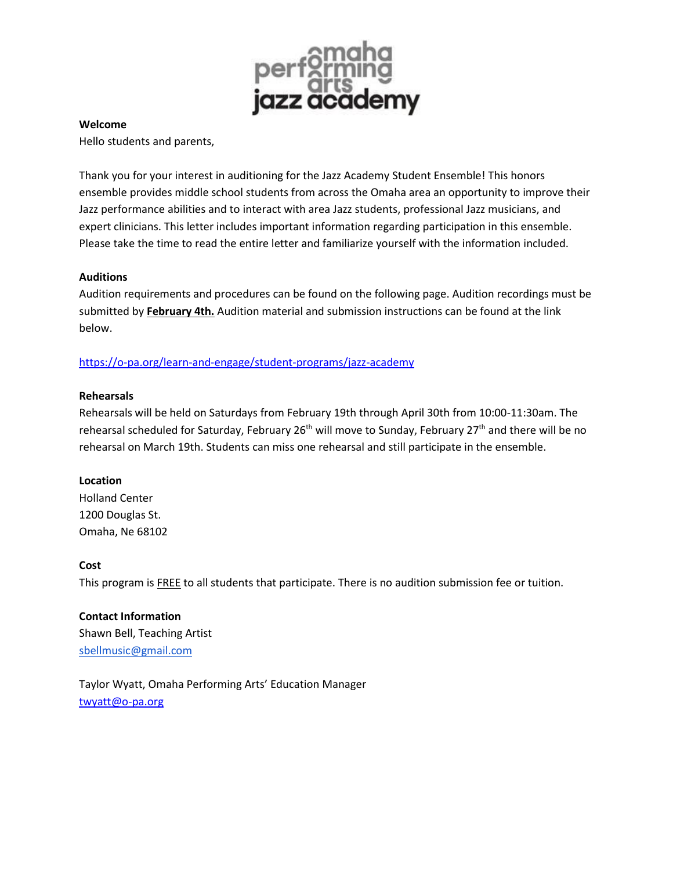

#### **Welcome**

Hello students and parents,

Thank you for your interest in auditioning for the Jazz Academy Student Ensemble! This honors ensemble provides middle school students from across the Omaha area an opportunity to improve their Jazz performance abilities and to interact with area Jazz students, professional Jazz musicians, and expert clinicians. This letter includes important information regarding participation in this ensemble. Please take the time to read the entire letter and familiarize yourself with the information included.

### **Auditions**

Audition requirements and procedures can be found on the following page. Audition recordings must be submitted by **February 4th.** Audition material and submission instructions can be found at the link below.

## <https://o-pa.org/learn-and-engage/student-programs/jazz-academy>

#### **Rehearsals**

Rehearsals will be held on Saturdays from February 19th through April 30th from 10:00-11:30am. The rehearsal scheduled for Saturday, February 26<sup>th</sup> will move to Sunday, February 27<sup>th</sup> and there will be no rehearsal on March 19th. Students can miss one rehearsal and still participate in the ensemble.

### **Location**

Holland Center 1200 Douglas St. Omaha, Ne 68102

#### **Cost**

This program is **FREE** to all students that participate. There is no audition submission fee or tuition.

**Contact Information** Shawn Bell, Teaching Artist [sbellmusic@gmail.com](mailto:sbellmusic@gmail.com)

Taylor Wyatt, Omaha Performing Arts' Education Manager [twyatt@o-pa.org](mailto:twyatt@o-pa.org)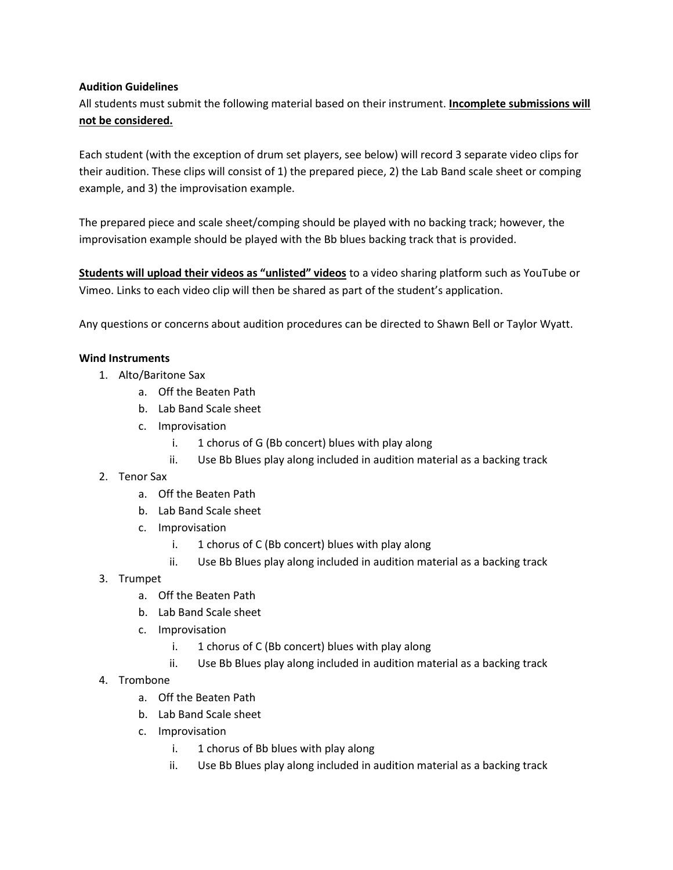## **Audition Guidelines**

All students must submit the following material based on their instrument. **Incomplete submissions will not be considered.**

Each student (with the exception of drum set players, see below) will record 3 separate video clips for their audition. These clips will consist of 1) the prepared piece, 2) the Lab Band scale sheet or comping example, and 3) the improvisation example.

The prepared piece and scale sheet/comping should be played with no backing track; however, the improvisation example should be played with the Bb blues backing track that is provided.

**Students will upload their videos as "unlisted" videos** to a video sharing platform such as YouTube or Vimeo. Links to each video clip will then be shared as part of the student's application.

Any questions or concerns about audition procedures can be directed to Shawn Bell or Taylor Wyatt.

## **Wind Instruments**

- 1. Alto/Baritone Sax
	- a. Off the Beaten Path
	- b. Lab Band Scale sheet
	- c. Improvisation
		- i. 1 chorus of G (Bb concert) blues with play along
		- ii. Use Bb Blues play along included in audition material as a backing track
- 2. Tenor Sax
	- a. Off the Beaten Path
	- b. Lab Band Scale sheet
	- c. Improvisation
		- i. 1 chorus of C (Bb concert) blues with play along
		- ii. Use Bb Blues play along included in audition material as a backing track
- 3. Trumpet
	- a. Off the Beaten Path
	- b. Lab Band Scale sheet
	- c. Improvisation
		- i. 1 chorus of C (Bb concert) blues with play along
		- ii. Use Bb Blues play along included in audition material as a backing track
- 4. Trombone
	- a. Off the Beaten Path
	- b. Lab Band Scale sheet
	- c. Improvisation
		- i. 1 chorus of Bb blues with play along
		- ii. Use Bb Blues play along included in audition material as a backing track